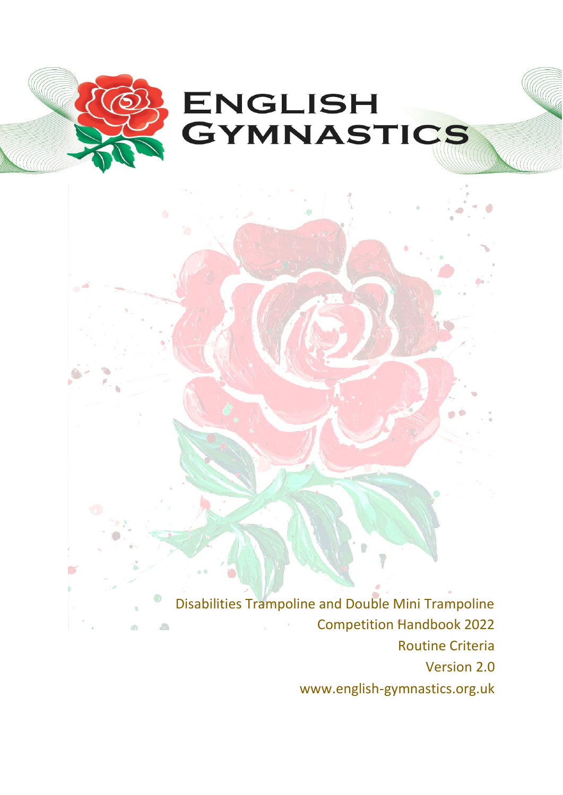

Disabilities Trampoline and Double Mini Trampoline Competition Handbook 2022  $\sqrt{2}$ Routine Criteria Version 2.0 www.english-gymnastics.org.uk

n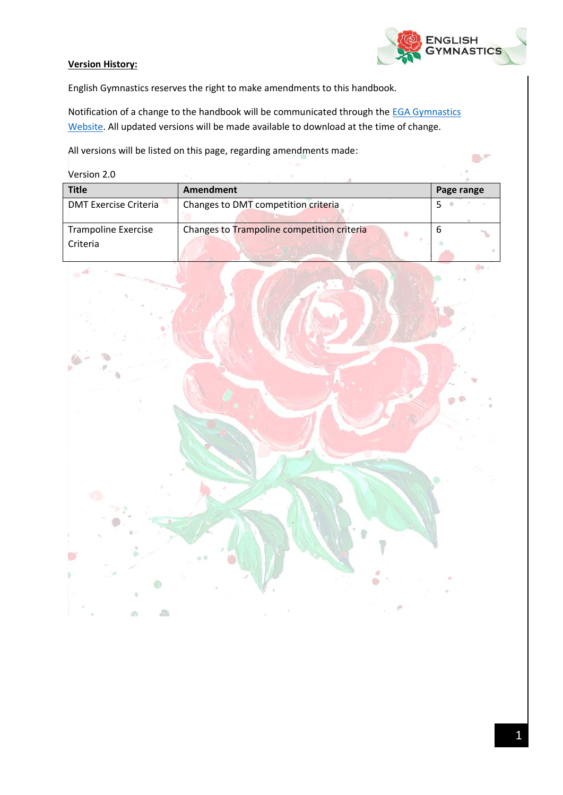

 $\bigcirc$ 

#### **Version History:**

English Gymnastics reserves the right to make amendments to this handbook.

Notification of a change to the handbook will be communicated through the **EGA Gymnastics** [Website.](https://www.british-gymnastics.org/england/latest-news/8868-tra-dmt-tum-english-championships-qualification-series-2020) All updated versions will be made available to download at the time of change.

All versions will be listed on this page, regarding amendments made:

Version 2.0

| <b>Title</b>                           | Amendment                                  | Page range |
|----------------------------------------|--------------------------------------------|------------|
| <b>DMT Exercise Criteria</b>           | Changes to DMT competition criteria        |            |
| <b>Trampoline Exercise</b><br>Criteria | Changes to Trampoline competition criteria | O          |

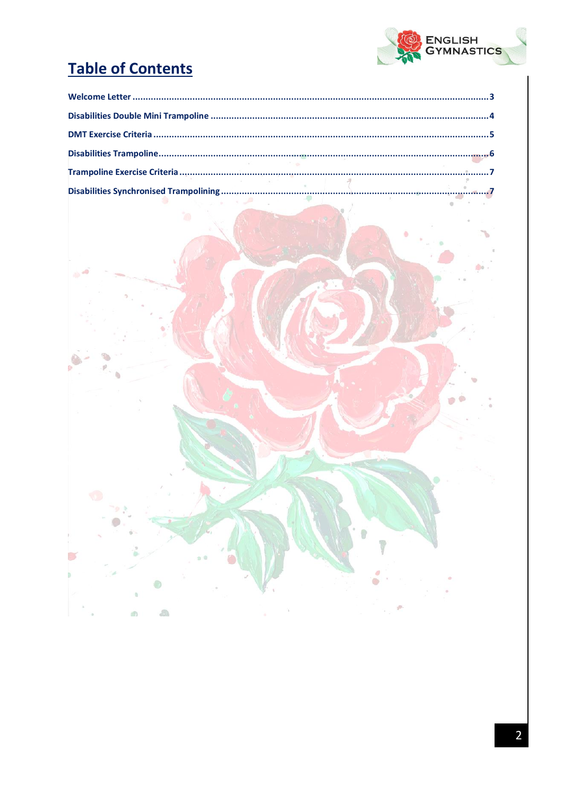

# **Table of Contents**

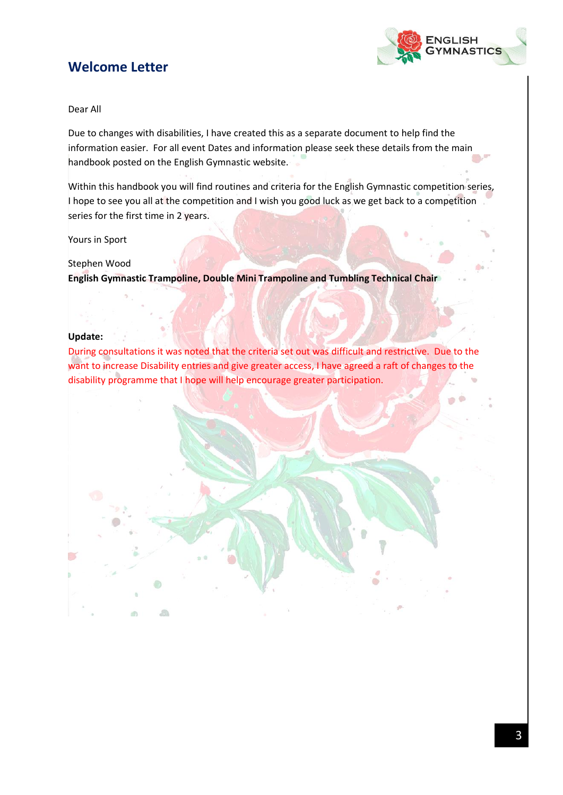## <span id="page-3-0"></span>**Welcome Letter**



#### Dear All

Due to changes with disabilities, I have created this as a separate document to help find the information easier. For all event Dates and information please seek these details from the main handbook posted on the English Gymnastic website.

Within this handbook you will find routines and criteria for the English Gymnastic competition series, I hope to see you all at the competition and I wish you good luck as we get back to a competition series for the first time in 2 years.

Yours in Sport

#### Stephen Wood

 $\partial\mathbb{R}$ 

**English Gymnastic Trampoline, Double Mini Trampoline and Tumbling Technical Chair**

#### **Update:**

During consultations it was noted that the criteria set out was difficult and restrictive. Due to the want to increase Disability entries and give greater access, I have agreed a raft of changes to the disability programme that I hope will help encourage greater participation.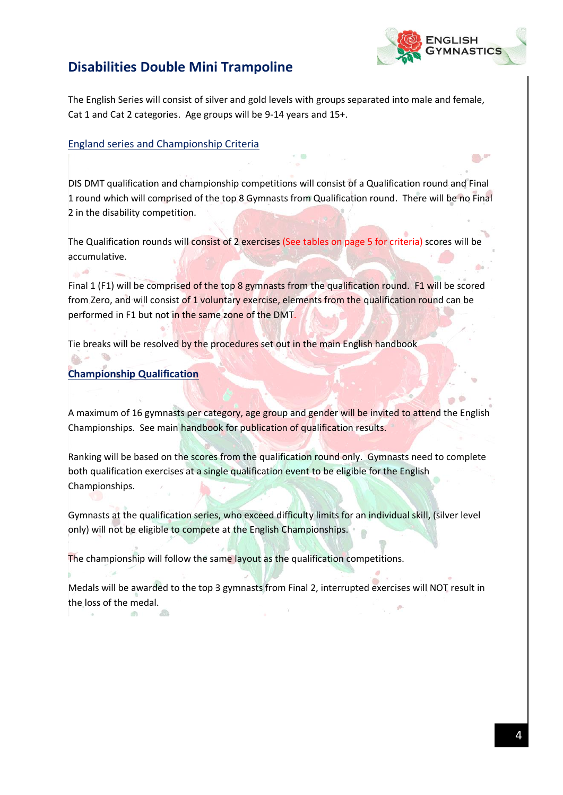

**Contract** 

## <span id="page-4-0"></span>**Disabilities Double Mini Trampoline**

The English Series will consist of silver and gold levels with groups separated into male and female, Cat 1 and Cat 2 categories. Age groups will be 9-14 years and 15+.

#### England series and Championship Criteria

DIS DMT qualification and championship competitions will consist of a Qualification round and Final 1 round which will comprised of the top 8 Gymnasts from Qualification round. There will be no Final 2 in the disability competition.

The Qualification rounds will consist of 2 exercises (See tables on page 5 for criteria) scores will be accumulative.

Final 1 (F1) will be comprised of the top 8 gymnasts from the qualification round. F1 will be scored from Zero, and will consist of 1 voluntary exercise, elements from the qualification round can be performed in F1 but not in the same zone of the DMT.

Tie breaks will be resolved by the procedures set out in the main English handbook

### **Championship Qualification**

**ID** 

 $\sqrt{m}$ 

-a

A maximum of 16 gymnasts per category, age group and gender will be invited to attend the English Championships. See main handbook for publication of qualification results.

Ranking will be based on the scores from the qualification round only. Gymnasts need to complete both qualification exercises at a single qualification event to be eligible for the English Championships.

Gymnasts at the qualification series, who exceed difficulty limits for an individual skill, (silver level only) will not be eligible to compete at the English Championships.

The championship will follow the same layout as the qualification competitions.

Medals will be awarded to the top 3 gymnasts from Final 2, interrupted exercises will NOT result in the loss of the medal.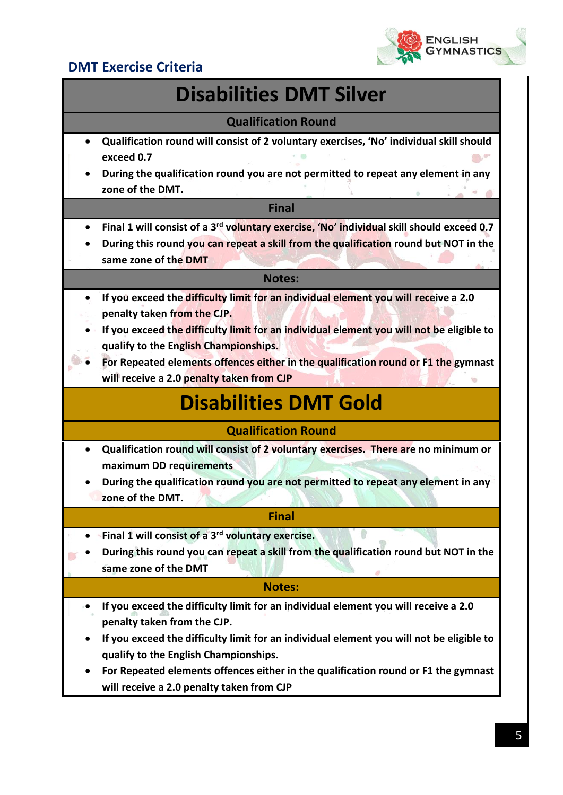

## <span id="page-5-0"></span>**DMT Exercise Criteria**

# **Disabilities DMT Silver**

### **Qualification Round**

- **Qualification round will consist of 2 voluntary exercises, 'No' individual skill should exceed 0.7**
- **During the qualification round you are not permitted to repeat any element in any zone of the DMT.**

#### **Final**

- **Final 1 will consist of a 3rd voluntary exercise, 'No' individual skill should exceed 0.7**
- **During this round you can repeat a skill from the qualification round but NOT in the same zone of the DMT**

#### **Notes:**

- **If you exceed the difficulty limit for an individual element you will receive a 2.0 penalty taken from the CJP.**
- **If you exceed the difficulty limit for an individual element you will not be eligible to qualify to the English Championships.**
- **For Repeated elements offences either in the qualification round or F1 the gymnast will receive a 2.0 penalty taken from CJP**

# **Disabilities DMT Gold**

### **Qualification Round**

- **Qualification round will consist of 2 voluntary exercises. There are no minimum or maximum DD requirements**
- **During the qualification round you are not permitted to repeat any element in any zone of the DMT.**

#### **Final**

- **Final 1 will consist of a 3rd voluntary exercise.**
- **During this round you can repeat a skill from the qualification round but NOT in the same zone of the DMT**

#### **Notes:**

- **If you exceed the difficulty limit for an individual element you will receive a 2.0 penalty taken from the CJP.**
- **If you exceed the difficulty limit for an individual element you will not be eligible to qualify to the English Championships.**
- **For Repeated elements offences either in the qualification round or F1 the gymnast will receive a 2.0 penalty taken from CJP**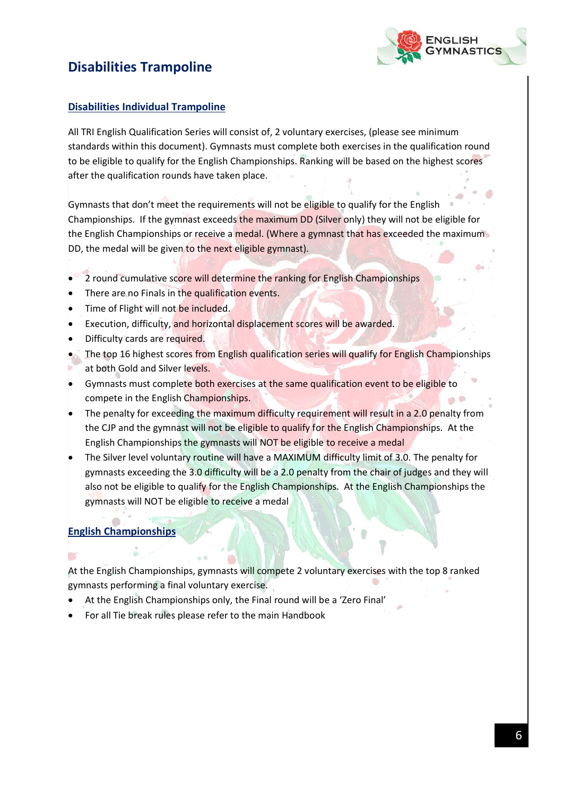## <span id="page-6-0"></span>**Disabilities Trampoline**



#### **Disabilities Individual Trampoline**

All TRI English Qualification Series will consist of, 2 voluntary exercises, (please see minimum standards within this document). Gymnasts must complete both exercises in the qualification round to be eligible to qualify for the English Championships. Ranking will be based on the highest scores after the qualification rounds have taken place.

Gymnasts that don't meet the requirements will not be eligible to qualify for the English Championships. If the gymnast exceeds the maximum DD (Silver only) they will not be eligible for the English Championships or receive a medal. (Where a gymnast that has exceeded the maximum DD, the medal will be given to the next eligible gymnast).

- 2 round cumulative score will determine the ranking for English Championships
- There are no Finals in the qualification events.
- Time of Flight will not be included.
- Execution, difficulty, and horizontal displacement scores will be awarded.
- Difficulty cards are required.
- The top 16 highest scores from English qualification series will qualify for English Championships at both Gold and Silver levels.
- Gymnasts must complete both exercises at the same qualification event to be eligible to compete in the English Championships.
- The penalty for exceeding the maximum difficulty requirement will result in a 2.0 penalty from the CJP and the gymnast will not be eligible to qualify for the English Championships. At the English Championships the gymnasts will NOT be eligible to receive a medal
- The Silver level voluntary routine will have a MAXIMUM difficulty limit of 3.0. The penalty for gymnasts exceeding the 3.0 difficulty will be a 2.0 penalty from the chair of judges and they will also not be eligible to qualify for the English Championships. At the English Championships the gymnasts will NOT be eligible to receive a medal

#### **English Championships**

**D** 

At the English Championships, gymnasts will compete 2 voluntary exercises with the top 8 ranked gymnasts performing a final voluntary exercise.

- At the English Championships only, the Final round will be a 'Zero Final'
- For all Tie break rules please refer to the main Handbook